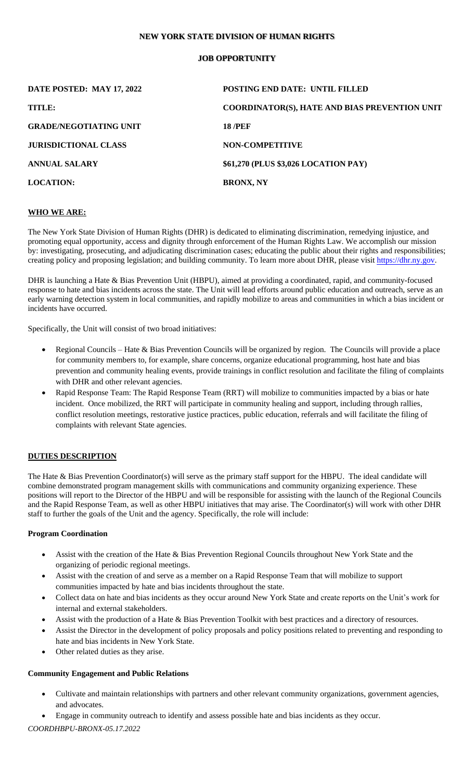## **NEW YORK STATE DIVISION OF HUMAN RIGHTS**

# **JOB OPPORTUNITY**

| DATE POSTED: MAY 17, 2022     | <b>POSTING END DATE: UNTIL FILLED</b>                |
|-------------------------------|------------------------------------------------------|
| TITLE:                        | <b>COORDINATOR(S), HATE AND BIAS PREVENTION UNIT</b> |
| <b>GRADE/NEGOTIATING UNIT</b> | <b>18 /PEF</b>                                       |
| <b>JURISDICTIONAL CLASS</b>   | <b>NON-COMPETITIVE</b>                               |
| <b>ANNUAL SALARY</b>          | \$61,270 (PLUS \$3,026 LOCATION PAY)                 |
| <b>LOCATION:</b>              | <b>BRONX, NY</b>                                     |

## **WHO WE ARE:**

The New York State Division of Human Rights (DHR) is dedicated to eliminating discrimination, remedying injustice, and promoting equal opportunity, access and dignity through enforcement of the Human Rights Law. We accomplish our mission by: investigating, prosecuting, and adjudicating discrimination cases; educating the public about their rights and responsibilities; creating policy and proposing legislation; and building community. To learn more about DHR, please visit [https://dhr.ny.gov.](https://dhr.ny.gov/)

DHR is launching a Hate & Bias Prevention Unit (HBPU), aimed at providing a coordinated, rapid, and community-focused response to hate and bias incidents across the state. The Unit will lead efforts around public education and outreach, serve as an early warning detection system in local communities, and rapidly mobilize to areas and communities in which a bias incident or incidents have occurred.

Specifically, the Unit will consist of two broad initiatives:

- Regional Councils Hate & Bias Prevention Councils will be organized by region. The Councils will provide a place for community members to, for example, share concerns, organize educational programming, host hate and bias prevention and community healing events, provide trainings in conflict resolution and facilitate the filing of complaints with DHR and other relevant agencies.
- Rapid Response Team: The Rapid Response Team (RRT) will mobilize to communities impacted by a bias or hate incident. Once mobilized, the RRT will participate in community healing and support, including through rallies, conflict resolution meetings, restorative justice practices, public education, referrals and will facilitate the filing of complaints with relevant State agencies.

## **DUTIES DESCRIPTION**

The Hate & Bias Prevention Coordinator(s) will serve as the primary staff support for the HBPU. The ideal candidate will combine demonstrated program management skills with communications and community organizing experience. These positions will report to the Director of the HBPU and will be responsible for assisting with the launch of the Regional Councils and the Rapid Response Team, as well as other HBPU initiatives that may arise. The Coordinator(s) will work with other DHR staff to further the goals of the Unit and the agency. Specifically, the role will include:

#### **Program Coordination**

- Assist with the creation of the Hate & Bias Prevention Regional Councils throughout New York State and the organizing of periodic regional meetings.
- Assist with the creation of and serve as a member on a Rapid Response Team that will mobilize to support communities impacted by hate and bias incidents throughout the state.
- Collect data on hate and bias incidents as they occur around New York State and create reports on the Unit's work for internal and external stakeholders.
- Assist with the production of a Hate & Bias Prevention Toolkit with best practices and a directory of resources.
- Assist the Director in the development of policy proposals and policy positions related to preventing and responding to hate and bias incidents in New York State.
- Other related duties as they arise.

## **Community Engagement and Public Relations**

- Cultivate and maintain relationships with partners and other relevant community organizations, government agencies, and advocates.
- Engage in community outreach to identify and assess possible hate and bias incidents as they occur.

*COORDHBPU-BRONX-05.17.2022*